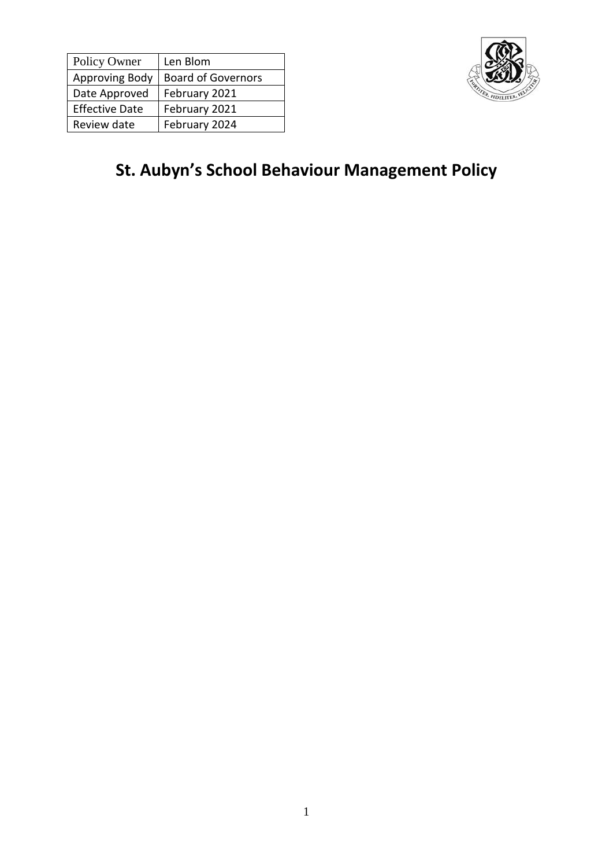| Policy Owner          | Len Blom                  |
|-----------------------|---------------------------|
| Approving Body        | <b>Board of Governors</b> |
| Date Approved         | February 2021             |
| <b>Effective Date</b> | February 2021             |
| Review date           | February 2024             |



# **St. Aubyn's School Behaviour Management Policy**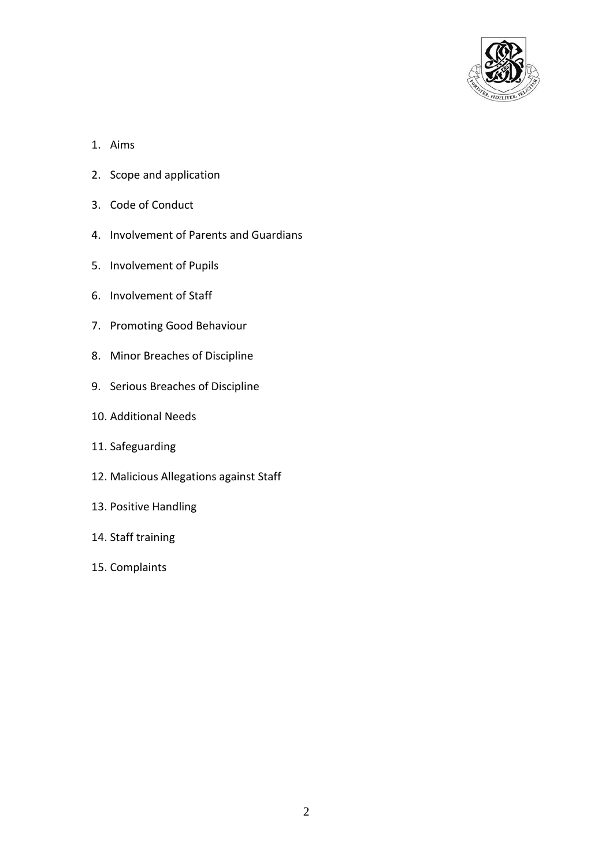

- 1. Aims
- 2. Scope and application
- 3. Code of Conduct
- 4. Involvement of Parents and Guardians
- 5. Involvement of Pupils
- 6. Involvement of Staff
- 7. Promoting Good Behaviour
- 8. Minor Breaches of Discipline
- 9. Serious Breaches of Discipline
- 10. Additional Needs
- 11. Safeguarding
- 12. Malicious Allegations against Staff
- 13. Positive Handling
- 14. Staff training
- 15. Complaints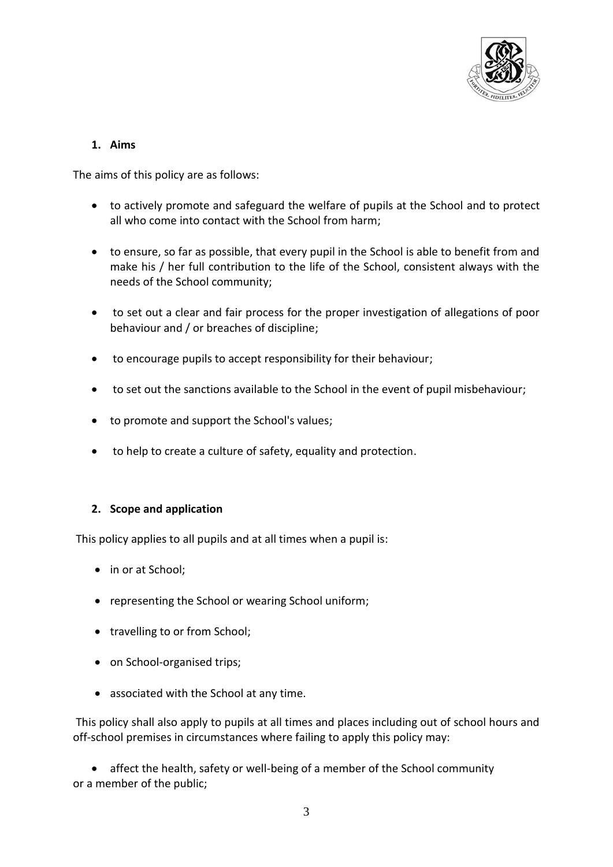

# **1. Aims**

The aims of this policy are as follows:

- to actively promote and safeguard the welfare of pupils at the School and to protect all who come into contact with the School from harm;
- to ensure, so far as possible, that every pupil in the School is able to benefit from and make his / her full contribution to the life of the School, consistent always with the needs of the School community;
- to set out a clear and fair process for the proper investigation of allegations of poor behaviour and / or breaches of discipline;
- to encourage pupils to accept responsibility for their behaviour;
- to set out the sanctions available to the School in the event of pupil misbehaviour;
- to promote and support the School's values;
- to help to create a culture of safety, equality and protection.

# **2. Scope and application**

This policy applies to all pupils and at all times when a pupil is:

- in or at School:
- representing the School or wearing School uniform;
- travelling to or from School;
- on School-organised trips;
- associated with the School at any time.

This policy shall also apply to pupils at all times and places including out of school hours and off-school premises in circumstances where failing to apply this policy may:

 affect the health, safety or well-being of a member of the School community or a member of the public;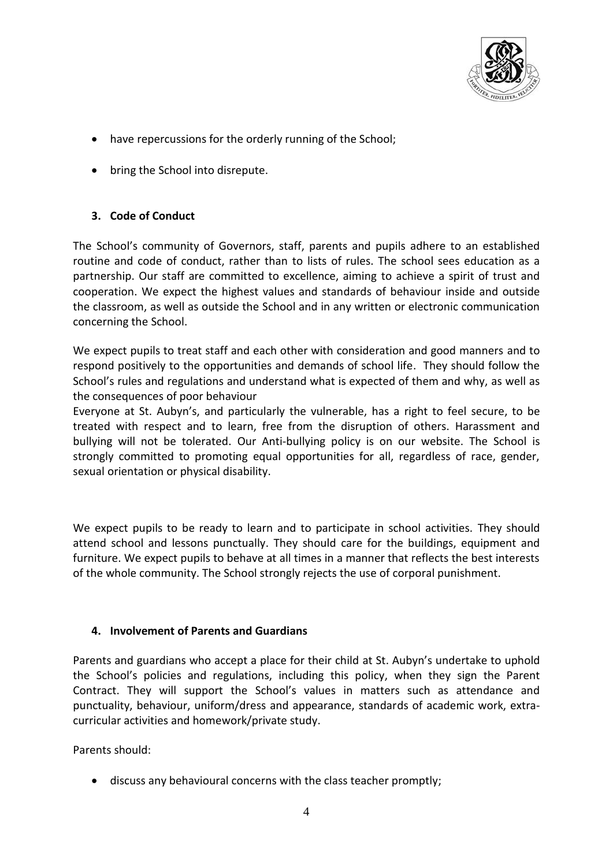

- have repercussions for the orderly running of the School;
- bring the School into disrepute.

# **3. Code of Conduct**

The School's community of Governors, staff, parents and pupils adhere to an established routine and code of conduct, rather than to lists of rules. The school sees education as a partnership. Our staff are committed to excellence, aiming to achieve a spirit of trust and cooperation. We expect the highest values and standards of behaviour inside and outside the classroom, as well as outside the School and in any written or electronic communication concerning the School.

We expect pupils to treat staff and each other with consideration and good manners and to respond positively to the opportunities and demands of school life. They should follow the School's rules and regulations and understand what is expected of them and why, as well as the consequences of poor behaviour

Everyone at St. Aubyn's, and particularly the vulnerable, has a right to feel secure, to be treated with respect and to learn, free from the disruption of others. Harassment and bullying will not be tolerated. Our Anti-bullying policy is on our website. The School is strongly committed to promoting equal opportunities for all, regardless of race, gender, sexual orientation or physical disability.

We expect pupils to be ready to learn and to participate in school activities. They should attend school and lessons punctually. They should care for the buildings, equipment and furniture. We expect pupils to behave at all times in a manner that reflects the best interests of the whole community. The School strongly rejects the use of corporal punishment.

# **4. Involvement of Parents and Guardians**

Parents and guardians who accept a place for their child at St. Aubyn's undertake to uphold the School's policies and regulations, including this policy, when they sign the Parent Contract. They will support the School's values in matters such as attendance and punctuality, behaviour, uniform/dress and appearance, standards of academic work, extracurricular activities and homework/private study.

Parents should:

discuss any behavioural concerns with the class teacher promptly;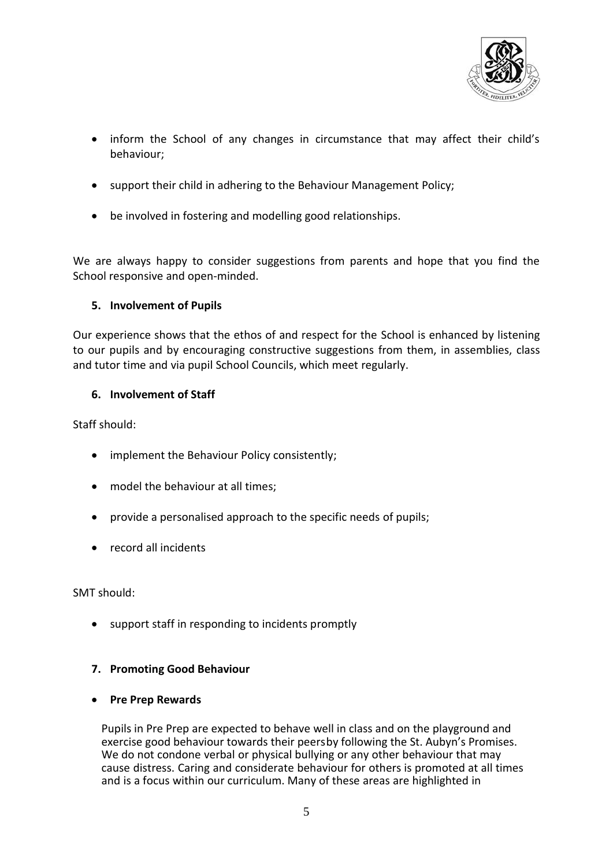

- inform the School of any changes in circumstance that may affect their child's behaviour;
- support their child in adhering to the Behaviour Management Policy;
- be involved in fostering and modelling good relationships.

We are always happy to consider suggestions from parents and hope that you find the School responsive and open-minded.

## **5. Involvement of Pupils**

Our experience shows that the ethos of and respect for the School is enhanced by listening to our pupils and by encouraging constructive suggestions from them, in assemblies, class and tutor time and via pupil School Councils, which meet regularly.

## **6. Involvement of Staff**

Staff should:

- implement the Behaviour Policy consistently;
- model the behaviour at all times;
- provide a personalised approach to the specific needs of pupils;
- record all incidents

SMT should:

support staff in responding to incidents promptly

# **7. Promoting Good Behaviour**

**•** Pre Prep Rewards

Pupils in Pre Prep are expected to behave well in class and on the playground and exercise good behaviour towards their peersby following the St. Aubyn's Promises. We do not condone verbal or physical bullying or any other behaviour that may cause distress. Caring and considerate behaviour for others is promoted at all times and is a focus within our curriculum. Many of these areas are highlighted in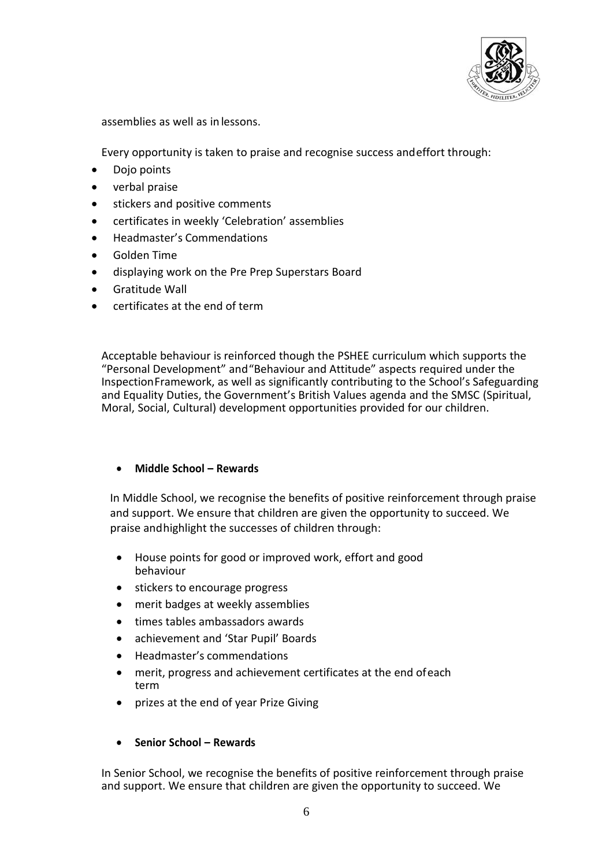

assemblies as well as in lessons.

Every opportunity is taken to praise and recognise success andeffort through:

- Dojo points
- verbal praise
- **•** stickers and positive comments
- certificates in weekly 'Celebration' assemblies
- Headmaster's Commendations
- Golden Time
- displaying work on the Pre Prep Superstars Board
- Gratitude Wall
- certificates at the end of term

Acceptable behaviour is reinforced though the PSHEE curriculum which supports the "Personal Development" and"Behaviour and Attitude" aspects required under the InspectionFramework, as well as significantly contributing to the School's Safeguarding and Equality Duties, the Government's British Values agenda and the SMSC (Spiritual, Moral, Social, Cultural) development opportunities provided for our children.

# **Middle School – Rewards**

In Middle School, we recognise the benefits of positive reinforcement through praise and support. We ensure that children are given the opportunity to succeed. We praise andhighlight the successes of children through:

- House points for good or improved work, effort and good behaviour
- stickers to encourage progress
- merit badges at weekly assemblies
- times tables ambassadors awards
- achievement and 'Star Pupil' Boards
- Headmaster's commendations
- merit, progress and achievement certificates at the end ofeach term
- prizes at the end of year Prize Giving

# **Senior School – Rewards**

In Senior School, we recognise the benefits of positive reinforcement through praise and support. We ensure that children are given the opportunity to succeed. We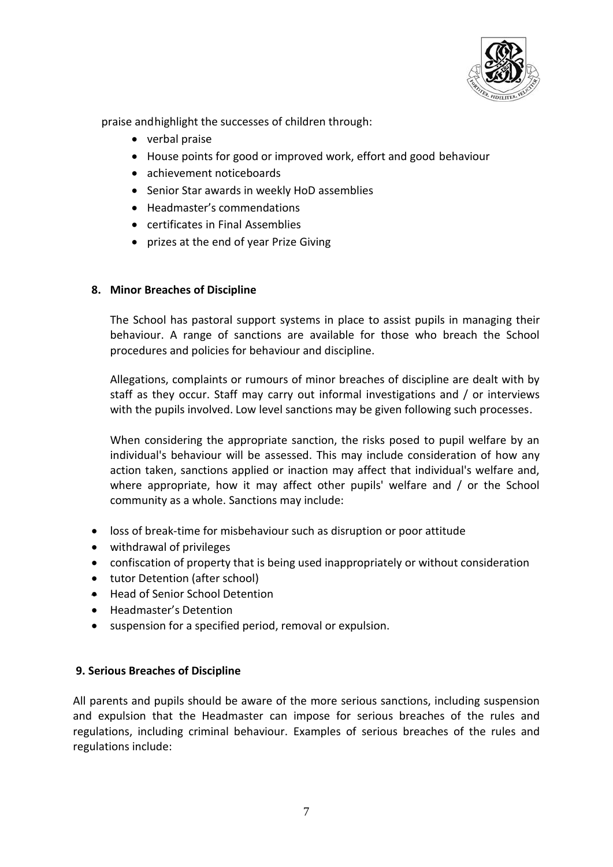

praise andhighlight the successes of children through:

- verbal praise
- House points for good or improved work, effort and good behaviour
- achievement noticeboards
- Senior Star awards in weekly HoD assemblies
- Headmaster's commendations
- certificates in Final Assemblies
- prizes at the end of year Prize Giving

## **8. Minor Breaches of Discipline**

The School has pastoral support systems in place to assist pupils in managing their behaviour. A range of sanctions are available for those who breach the School procedures and policies for behaviour and discipline.

Allegations, complaints or rumours of minor breaches of discipline are dealt with by staff as they occur. Staff may carry out informal investigations and / or interviews with the pupils involved. Low level sanctions may be given following such processes.

When considering the appropriate sanction, the risks posed to pupil welfare by an individual's behaviour will be assessed. This may include consideration of how any action taken, sanctions applied or inaction may affect that individual's welfare and, where appropriate, how it may affect other pupils' welfare and / or the School community as a whole. Sanctions may include:

- loss of break-time for misbehaviour such as disruption or poor attitude
- withdrawal of privileges
- confiscation of property that is being used inappropriately or without consideration
- tutor Detention (after school)
- Head of Senior School Detention
- Headmaster's Detention
- suspension for a specified period, removal or expulsion.

#### **9. Serious Breaches of Discipline**

All parents and pupils should be aware of the more serious sanctions, including suspension and expulsion that the Headmaster can impose for serious breaches of the rules and regulations, including criminal behaviour. Examples of serious breaches of the rules and regulations include: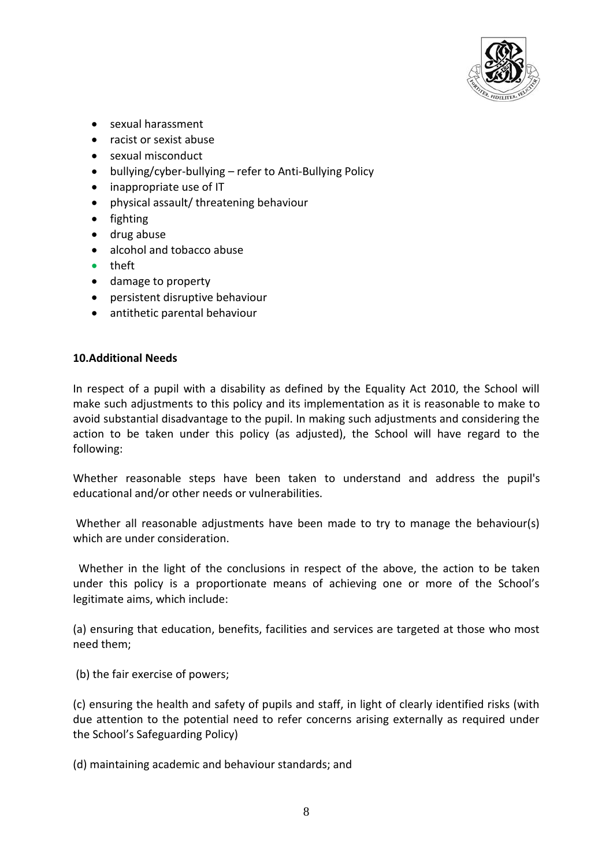

- sexual harassment
- racist or sexist abuse
- sexual misconduct
- bullying/cyber-bullying refer to Anti-Bullying Policy
- inappropriate use of IT
- physical assault/ threatening behaviour
- fighting
- drug abuse
- alcohol and tobacco abuse
- **•** theft
- damage to property
- persistent disruptive behaviour
- antithetic parental behaviour

#### **10.Additional Needs**

In respect of a pupil with a disability as defined by the Equality Act 2010, the School will make such adjustments to this policy and its implementation as it is reasonable to make to avoid substantial disadvantage to the pupil. In making such adjustments and considering the action to be taken under this policy (as adjusted), the School will have regard to the following:

Whether reasonable steps have been taken to understand and address the pupil's educational and/or other needs or vulnerabilities.

Whether all reasonable adjustments have been made to try to manage the behaviour(s) which are under consideration.

 Whether in the light of the conclusions in respect of the above, the action to be taken under this policy is a proportionate means of achieving one or more of the School's legitimate aims, which include:

(a) ensuring that education, benefits, facilities and services are targeted at those who most need them;

(b) the fair exercise of powers;

(c) ensuring the health and safety of pupils and staff, in light of clearly identified risks (with due attention to the potential need to refer concerns arising externally as required under the School's Safeguarding Policy)

(d) maintaining academic and behaviour standards; and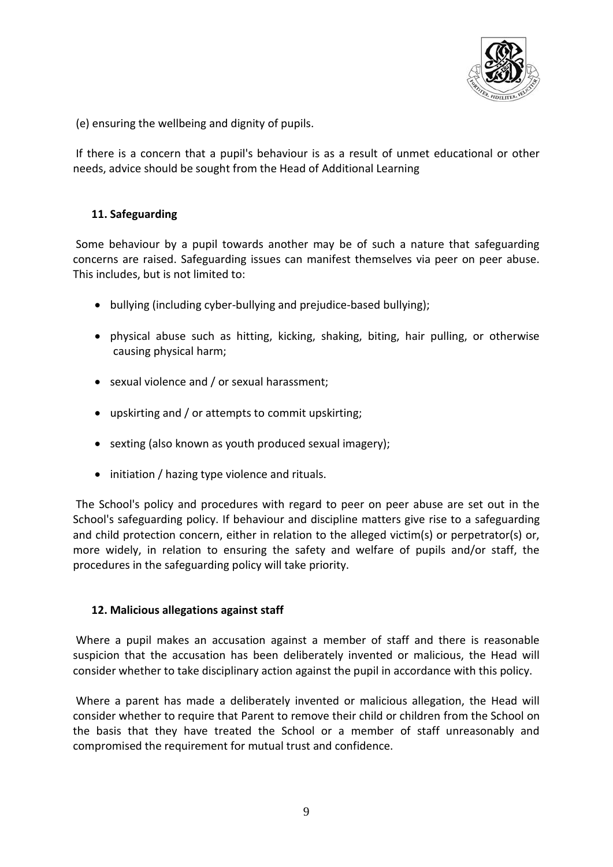

(e) ensuring the wellbeing and dignity of pupils.

If there is a concern that a pupil's behaviour is as a result of unmet educational or other needs, advice should be sought from the Head of Additional Learning

## **11. Safeguarding**

Some behaviour by a pupil towards another may be of such a nature that safeguarding concerns are raised. Safeguarding issues can manifest themselves via peer on peer abuse. This includes, but is not limited to:

- bullying (including cyber-bullying and prejudice-based bullying);
- physical abuse such as hitting, kicking, shaking, biting, hair pulling, or otherwise causing physical harm;
- sexual violence and / or sexual harassment;
- upskirting and / or attempts to commit upskirting;
- sexting (also known as youth produced sexual imagery);
- initiation / hazing type violence and rituals.

The School's policy and procedures with regard to peer on peer abuse are set out in the School's safeguarding policy. If behaviour and discipline matters give rise to a safeguarding and child protection concern, either in relation to the alleged victim(s) or perpetrator(s) or, more widely, in relation to ensuring the safety and welfare of pupils and/or staff, the procedures in the safeguarding policy will take priority.

#### **12. Malicious allegations against staff**

Where a pupil makes an accusation against a member of staff and there is reasonable suspicion that the accusation has been deliberately invented or malicious, the Head will consider whether to take disciplinary action against the pupil in accordance with this policy.

Where a parent has made a deliberately invented or malicious allegation, the Head will consider whether to require that Parent to remove their child or children from the School on the basis that they have treated the School or a member of staff unreasonably and compromised the requirement for mutual trust and confidence.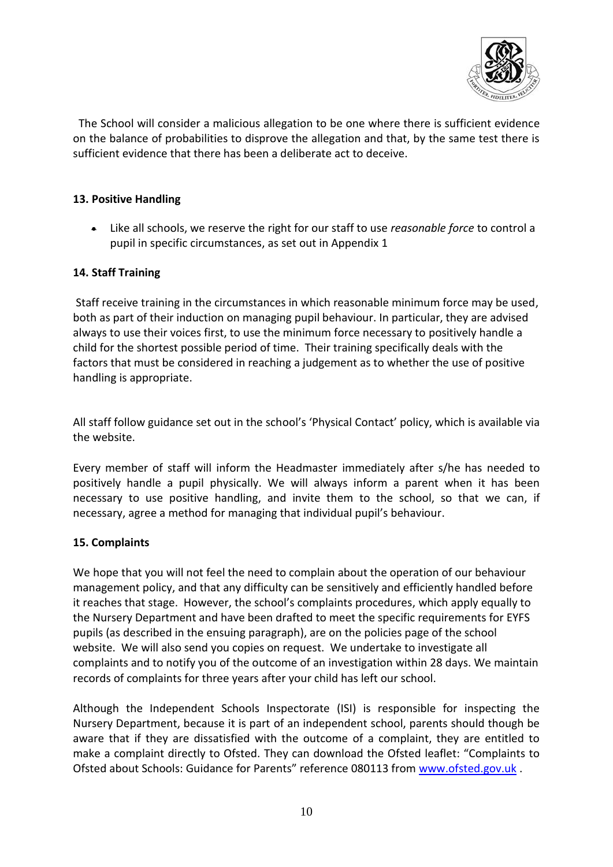

 The School will consider a malicious allegation to be one where there is sufficient evidence on the balance of probabilities to disprove the allegation and that, by the same test there is sufficient evidence that there has been a deliberate act to deceive.

## **13. Positive Handling**

 Like all schools, we reserve the right for our staff to use *reasonable force* to control a pupil in specific circumstances, as set out in Appendix 1

## **14. Staff Training**

Staff receive training in the circumstances in which reasonable minimum force may be used, both as part of their induction on managing pupil behaviour. In particular, they are advised always to use their voices first, to use the minimum force necessary to positively handle a child for the shortest possible period of time. Their training specifically deals with the factors that must be considered in reaching a judgement as to whether the use of positive handling is appropriate.

All staff follow guidance set out in the school's 'Physical Contact' policy, which is available via the website.

Every member of staff will inform the Headmaster immediately after s/he has needed to positively handle a pupil physically. We will always inform a parent when it has been necessary to use positive handling, and invite them to the school, so that we can, if necessary, agree a method for managing that individual pupil's behaviour.

# **15. Complaints**

We hope that you will not feel the need to complain about the operation of our behaviour management policy, and that any difficulty can be sensitively and efficiently handled before it reaches that stage. However, the school's complaints procedures, which apply equally to the Nursery Department and have been drafted to meet the specific requirements for EYFS pupils (as described in the ensuing paragraph), are on the policies page of the school website. We will also send you copies on request. We undertake to investigate all complaints and to notify you of the outcome of an investigation within 28 days. We maintain records of complaints for three years after your child has left our school.

Although the Independent Schools Inspectorate (ISI) is responsible for inspecting the Nursery Department, because it is part of an independent school, parents should though be aware that if they are dissatisfied with the outcome of a complaint, they are entitled to make a complaint directly to Ofsted. They can download the Ofsted leaflet: "Complaints to Ofsted about Schools: Guidance for Parents" reference 080113 from [www.ofsted.gov.uk](http://www.ofsted.gov.uk/) .